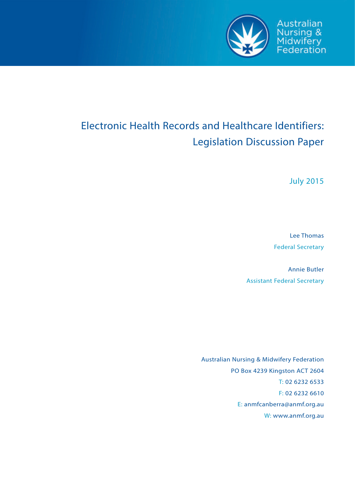

Australian Nursing &<br>Midwifery<br>Federation

# Electronic Health Records and Healthcare Identifiers: Legislation Discussion Paper

July 2015

Lee Thomas Federal Secretary

Annie Butler Assistant Federal Secretary

Australian Nursing & Midwifery Federation PO Box 4239 Kingston ACT 2604 T: 02 6232 6533 F: 02 6232 6610 E: anmfcanberra@anmf.org.au W: www.anmf.org.au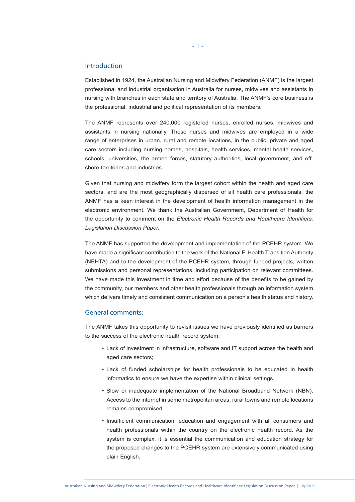#### Introduction

Established in 1924, the Australian Nursing and Midwifery Federation (ANMF) is the largest professional and industrial organisation in Australia for nurses, midwives and assistants in nursing with branches in each state and territory of Australia. The ANMF's core business is the professional, industrial and political representation of its members.

The ANMF represents over 240,000 registered nurses, enrolled nurses, midwives and assistants in nursing nationally. These nurses and midwives are employed in a wide range of enterprises in urban, rural and remote locations, in the public, private and aged care sectors including nursing homes, hospitals, health services, mental health services, schools, universities, the armed forces, statutory authorities, local government, and offshore territories and industries.

Given that nursing and midwifery form the largest cohort within the health and aged care sectors, and are the most geographically dispersed of all health care professionals, the ANMF has a keen interest in the development of health information management in the electronic environment. We thank the Australian Government, Department of Health for the opportunity to comment on the *Electronic Health Records and Healthcare Identifiers: Legislation Discussion Paper.*

The ANMF has supported the development and implementation of the PCEHR system. We have made a significant contribution to the work of the National E-Health Transition Authority (NEHTA) and to the development of the PCEHR system, through funded projects, written submissions and personal representations, including participation on relevant committees. We have made this investment in time and effort because of the benefits to be gained by the community, our members and other health professionals through an information system which delivers timely and consistent communication on a person's health status and history.

# General comments:

The ANMF takes this opportunity to revisit issues we have previously identified as barriers to the success of the electronic health record system:

- Lack of investment in infrastructure, software and IT support across the health and aged care sectors;
- Lack of funded scholarships for health professionals to be educated in health informatics to ensure we have the expertise within clinical settings.
- Slow or inadequate implementation of the National Broadband Network (NBN). Access to the internet in some metropolitan areas, rural towns and remote locations remains compromised.
- Insufficient communication, education and engagement with all consumers and health professionals within the country on the electronic health record. As the system is complex, it is essential the communication and education strategy for the proposed changes to the PCEHR system are extensively communicated using plain English.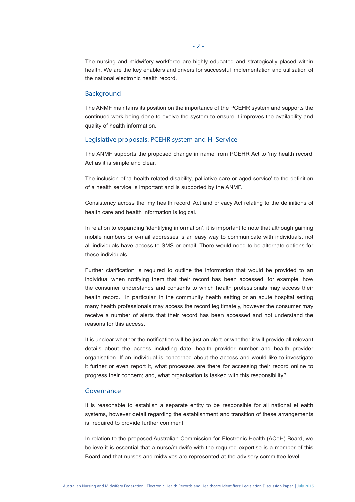The nursing and midwifery workforce are highly educated and strategically placed within health. We are the key enablers and drivers for successful implementation and utilisation of the national electronic health record.

#### **Background**

The ANMF maintains its position on the importance of the PCEHR system and supports the continued work being done to evolve the system to ensure it improves the availability and quality of health information.

### Legislative proposals: PCEHR system and HI Service

The ANMF supports the proposed change in name from PCEHR Act to 'my health record' Act as it is simple and clear.

The inclusion of 'a health-related disability, palliative care or aged service' to the definition of a health service is important and is supported by the ANMF.

Consistency across the 'my health record' Act and privacy Act relating to the definitions of health care and health information is logical.

In relation to expanding 'identifying information', it is important to note that although gaining mobile numbers or e-mail addresses is an easy way to communicate with individuals, not all individuals have access to SMS or email. There would need to be alternate options for these individuals.

Further clarification is required to outline the information that would be provided to an individual when notifying them that their record has been accessed, for example, how the consumer understands and consents to which health professionals may access their health record. In particular, in the community health setting or an acute hospital setting many health professionals may access the record legitimately, however the consumer may receive a number of alerts that their record has been accessed and not understand the reasons for this access.

It is unclear whether the notification will be just an alert or whether it will provide all relevant details about the access including date, health provider number and health provider organisation. If an individual is concerned about the access and would like to investigate it further or even report it, what processes are there for accessing their record online to progress their concern; and, what organisation is tasked with this responsibility?

# Governance

It is reasonable to establish a separate entity to be responsible for all national eHealth systems, however detail regarding the establishment and transition of these arrangements is required to provide further comment.

In relation to the proposed Australian Commission for Electronic Health (ACeH) Board, we believe it is essential that a nurse/midwife with the required expertise is a member of this Board and that nurses and midwives are represented at the advisory committee level.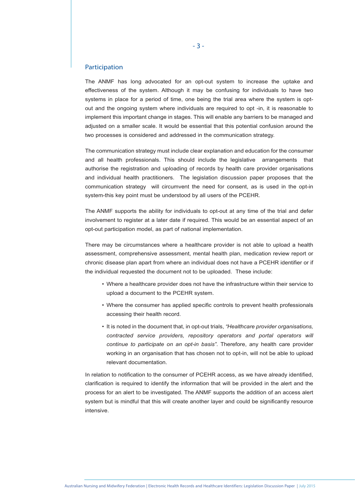#### Participation

The ANMF has long advocated for an opt-out system to increase the uptake and effectiveness of the system. Although it may be confusing for individuals to have two systems in place for a period of time, one being the trial area where the system is optout and the ongoing system where individuals are required to opt -in, it is reasonable to implement this important change in stages. This will enable any barriers to be managed and adjusted on a smaller scale. It would be essential that this potential confusion around the two processes is considered and addressed in the communication strategy.

The communication strategy must include clear explanation and education for the consumer and all health professionals. This should include the legislative arrangements that authorise the registration and uploading of records by health care provider organisations and individual health practitioners. The legislation discussion paper proposes that the communication strategy will circumvent the need for consent, as is used in the opt-in system-this key point must be understood by all users of the PCEHR.

The ANMF supports the ability for individuals to opt-out at any time of the trial and defer involvement to register at a later date if required. This would be an essential aspect of an opt-out participation model, as part of national implementation.

There may be circumstances where a healthcare provider is not able to upload a health assessment, comprehensive assessment, mental health plan, medication review report or chronic disease plan apart from where an individual does not have a PCEHR identifier or if the individual requested the document not to be uploaded. These include:

- Where a healthcare provider does not have the infrastructure within their service to upload a document to the PCEHR system.
- Where the consumer has applied specific controls to prevent health professionals accessing their health record.
- It is noted in the document that, in opt-out trials, *"Healthcare provider organisations, contracted service providers, repository operators and portal operators will continue to participate on an opt-in basis"*. Therefore, any health care provider working in an organisation that has chosen not to opt-in, will not be able to upload relevant documentation.

In relation to notification to the consumer of PCEHR access, as we have already identified, clarification is required to identify the information that will be provided in the alert and the process for an alert to be investigated. The ANMF supports the addition of an access alert system but is mindful that this will create another layer and could be significantly resource intensive.